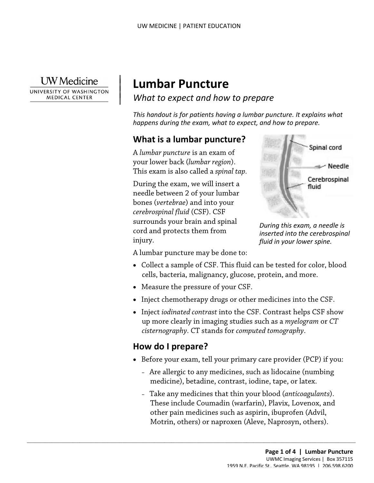**UW** Medicine

 $\overline{\phantom{a}}$ 

 $\vert$ 

UNIVERSITY OF WASHINGTON **MEDICAL CENTER** 

# | **Lumbar Puncture**

*What to expect and how to prepare* |

*This handout is for patients having a lumbar puncture. It explains what happens during the exam, what to expect, and how to prepare.* 

## **What is a lumbar puncture?**

 This exam is also called a *spinal tap.* A *lumbar puncture* is an exam of your lower back (*lumbar region*).

 *cerebrospinal fluid* (CSF). CSF This exam is also called a *spinal tap*.<br>
During the exam, we will insert a<br>
needle between 2 of your lumbar<br>
bones (*vertebrae*) and into your<br> *cerebrospinal fluid* (CSF). CSF<br>
surrounds your brain and spinal<br>
cord and p During the exam, we will insert a needle between 2 of your lumbar bones (*vertebrae*) and into your surrounds your brain and spinal cord and protects them from injury.



*During this exam, a needle is inserted into the cerebrospinal fluid in your lower spine.* 

A lumbar puncture may be done to:

- Collect a sample of CSF. This fluid can be tested for color, blood cells, bacteria, malignancy, glucose, protein, and more.
- Measure the pressure of your CSF.

 $\_$  ,  $\_$  ,  $\_$  ,  $\_$  ,  $\_$  ,  $\_$  ,  $\_$  ,  $\_$  ,  $\_$  ,  $\_$  ,  $\_$  ,  $\_$  ,  $\_$  ,  $\_$  ,  $\_$  ,  $\_$  ,  $\_$  ,  $\_$  ,  $\_$  ,  $\_$  ,  $\_$  ,  $\_$  ,  $\_$  ,  $\_$  ,  $\_$  ,  $\_$  ,  $\_$  ,  $\_$  ,  $\_$  ,  $\_$  ,  $\_$  ,  $\_$  ,  $\_$  ,  $\_$  ,  $\_$  ,  $\_$  ,  $\_$  ,

- Inject chemotherapy drugs or other medicines into the CSF.
- up more clearly in imaging studies such as a *myelogram* or *CT*  • Inject *iodinated contrast* into the CSF. Contrast helps CSF show *cisternography*. CT stands for *computed tomography*.

## **How do I prepare?**

- Before your exam, tell your primary care provider (PCP) if you:
	- Are allergic to any medicines, such as lidocaine (numbing medicine), betadine, contrast, iodine, tape, or latex.
	- These include Coumadin (warfarin), Plavix, Lovenox, and Motrin, others) or naproxen (Aleve, Naprosyn, others). – Take any medicines that thin your blood (*anticoagulants*). other pain medicines such as aspirin, ibuprofen (Advil,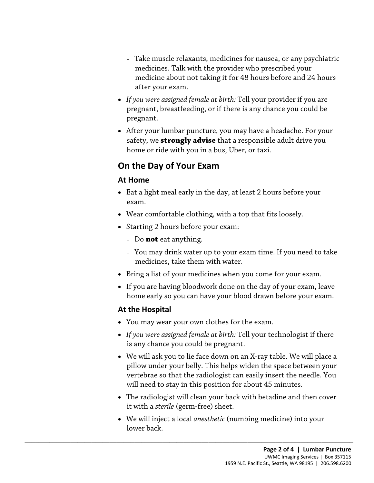- – Take muscle relaxants, medicines for nausea, or any psychiatric medicines. Talk with the provider who prescribed your medicine about not taking it for 48 hours before and 24 hours after your exam.
- *If you were assigned female at birth:* Tell your provider if you are pregnant, breastfeeding, or if there is any chance you could be pregnant.
- home or ride with you in a bus, Uber, or taxi. • After your lumbar puncture, you may have a headache. For your safety, we **strongly advise** that a responsible adult drive you

## **On the Day of Your Exam**

#### **At Home**

- At Home<br>
 Eat a light meal early in the day, at least 2 hours before your<br>
exam.<br>
 Wear comfortable clothing, with a top that fits loosely.<br>
 Starting 2 hours before your exam:<br>
 Do **not** eat anything. • Eat a light meal early in the day, at least 2 hours before your exam.
	- Wear comfortable clothing, with a top that fits loosely.
	- Starting 2 hours before your exam:
		- Do **not** eat anything.
		- – You may drink water up to your exam time. If you need to take medicines, take them with water.
	- Bring a list of your medicines when you come for your exam.
	- If you are having bloodwork done on the day of your exam, leave home early so you can have your blood drawn before your exam.

#### **At the Hospital**

• You may wear your own clothes for the exam.

 $\_$  ,  $\_$  ,  $\_$  ,  $\_$  ,  $\_$  ,  $\_$  ,  $\_$  ,  $\_$  ,  $\_$  ,  $\_$  ,  $\_$  ,  $\_$  ,  $\_$  ,  $\_$  ,  $\_$  ,  $\_$  ,  $\_$  ,  $\_$  ,  $\_$  ,  $\_$  ,  $\_$  ,  $\_$  ,  $\_$  ,  $\_$  ,  $\_$  ,  $\_$  ,  $\_$  ,  $\_$  ,  $\_$  ,  $\_$  ,  $\_$  ,  $\_$  ,  $\_$  ,  $\_$  ,  $\_$  ,  $\_$  ,  $\_$  ,

- • *If you were assigned female at birth:* Tell your technologist if there is any chance you could be pregnant.
- vertebrae so that the radiologist can easily insert the needle. You • We will ask you to lie face down on an X-ray table. We will place a pillow under your belly. This helps widen the space between your will need to stay in this position for about 45 minutes.
- • The radiologist will clean your back with betadine and then cover it with a *sterile* (germ-free) sheet.
- We will inject a local *anesthetic* (numbing medicine) into your lower back.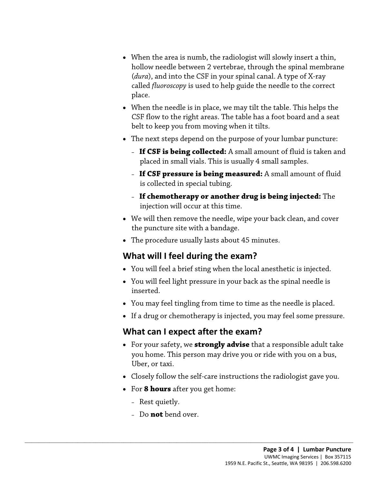- When the area is numb, the radiologist will slowly insert a thin, hollow needle between 2 vertebrae, through the spinal membrane (*dura*), and into the CSF in your spinal canal. A type of X-ray called *fluoroscopy* is used to help guide the needle to the correct place.
- • When the needle is in place, we may tilt the table. This helps the belt to keep you from moving when it tilts. CSF flow to the right areas. The table has a foot board and a seat
- The next steps depend on the purpose of your lumbar puncture:
	- **If CSF is being collected:** A small amount of fluid is taken and placed in small vials. This is usually 4 small samples.
	- **If CSF pressure is being measured:** A small amount of fluid is collected in special tubing.
	- **If chemotherapy or another drug is being injected:** The injection will occur at this time.
- If CSF pressure is being measured: A small amount of fluories is collected in special tubing.<br>
 If chemotherapy or another drug is being injected: The injection will occur at this time.<br>
 We will then remove the needle • We will then remove the needle, wipe your back clean, and cover the puncture site with a bandage.
	- The procedure usually lasts about 45 minutes.

# **What will I feel during the exam?**

- You will feel a brief sting when the local [anesthetic](javascript:glossAry() is injected.
- You will feel light pressure in your back as the spinal needle is inserted.
- You may feel tingling from time to time as the needle is placed.
- If a drug or chemotherapy is injected, you may feel some pressure.

## **What can I expect after the exam?**

- Uber, or taxi. • For your safety, we **strongly advise** that a responsible adult take you home. This person may drive you or ride with you on a bus,
- Closely follow the self-care instructions the radiologist gave you.
- For **8 hours** after you get home:

 $\_$  ,  $\_$  ,  $\_$  ,  $\_$  ,  $\_$  ,  $\_$  ,  $\_$  ,  $\_$  ,  $\_$  ,  $\_$  ,  $\_$  ,  $\_$  ,  $\_$  ,  $\_$  ,  $\_$  ,  $\_$  ,  $\_$  ,  $\_$  ,  $\_$  ,  $\_$  ,  $\_$  ,  $\_$  ,  $\_$  ,  $\_$  ,  $\_$  ,  $\_$  ,  $\_$  ,  $\_$  ,  $\_$  ,  $\_$  ,  $\_$  ,  $\_$  ,  $\_$  ,  $\_$  ,  $\_$  ,  $\_$  ,  $\_$  ,

- Rest quietly.
- Do **not** bend over.